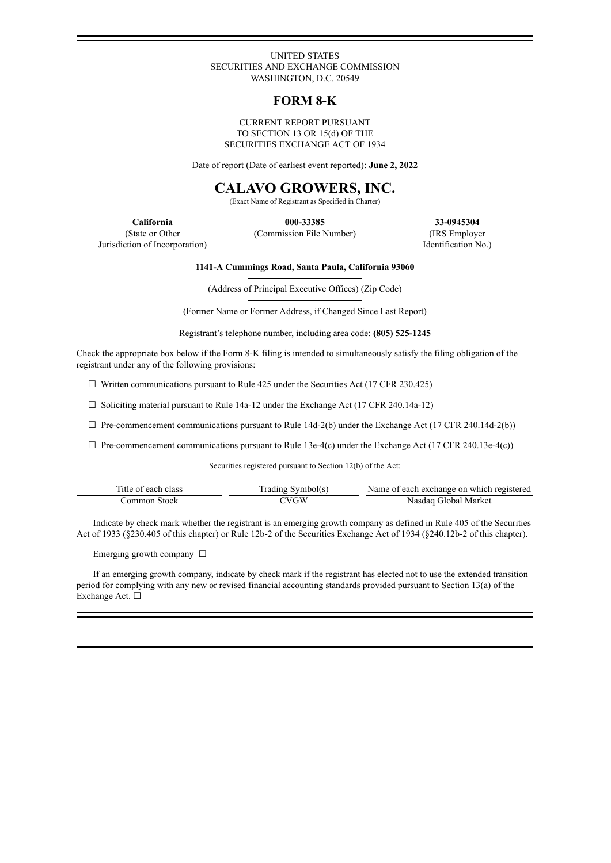#### UNITED STATES SECURITIES AND EXCHANGE COMMISSION WASHINGTON, D.C. 20549

# **FORM 8-K**

#### CURRENT REPORT PURSUANT TO SECTION 13 OR 15(d) OF THE SECURITIES EXCHANGE ACT OF 1934

Date of report (Date of earliest event reported): **June 2, 2022**

# **CALAVO GROWERS, INC.**

(Exact Name of Registrant as Specified in Charter)

| 000-33385<br>California        |                          | 33-0945304          |
|--------------------------------|--------------------------|---------------------|
| (State or Other)               | (Commission File Number) | (IRS Employer)      |
| Jurisdiction of Incorporation) |                          | Identification No.) |

#### **1141-A Cummings Road, Santa Paula, California 93060**

(Address of Principal Executive Offices) (Zip Code)

(Former Name or Former Address, if Changed Since Last Report)

Registrant's telephone number, including area code: **(805) 525-1245**

Check the appropriate box below if the Form 8-K filing is intended to simultaneously satisfy the filing obligation of the registrant under any of the following provisions:

 $\Box$  Written communications pursuant to Rule 425 under the Securities Act (17 CFR 230.425)

☐ Soliciting material pursuant to Rule 14a-12 under the Exchange Act (17 CFR 240.14a-12)

 $\Box$  Pre-commencement communications pursuant to Rule 14d-2(b) under the Exchange Act (17 CFR 240.14d-2(b))

 $\Box$  Pre-commencement communications pursuant to Rule 13e-4(c) under the Exchange Act (17 CFR 240.13e-4(c))

Securities registered pursuant to Section 12(b) of the Act:

| Title of each class | Trading Symbol(s) | Name of each exchange on which registered |
|---------------------|-------------------|-------------------------------------------|
| Common Stock        | .<br>VGW          | Nasdaq Global Market                      |

Indicate by check mark whether the registrant is an emerging growth company as defined in Rule 405 of the Securities Act of 1933 (§230.405 of this chapter) or Rule 12b-2 of the Securities Exchange Act of 1934 (§240.12b-2 of this chapter).

Emerging growth company □

If an emerging growth company, indicate by check mark if the registrant has elected not to use the extended transition period for complying with any new or revised financial accounting standards provided pursuant to Section 13(a) of the Exchange Act. □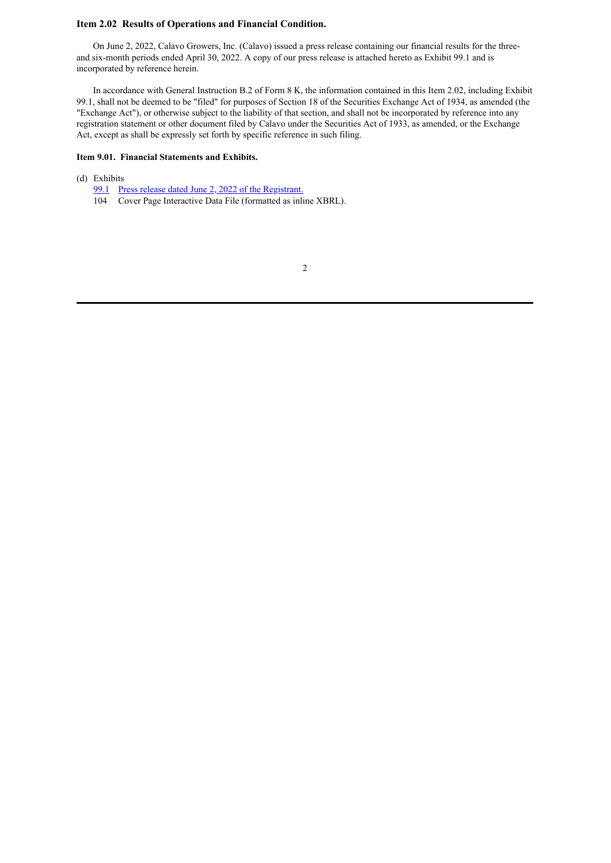#### **Item 2.02 Results of Operations and Financial Condition.**

On June 2, 2022, Calavo Growers, Inc. (Calavo) issued a press release containing our financial results for the threeand six-month periods ended April 30, 2022. A copy of our press release is attached hereto as Exhibit 99.1 and is incorporated by reference herein.

In accordance with General Instruction B.2 of Form 8 K, the information contained in this Item 2.02, including Exhibit 99.1, shall not be deemed to be "filed" for purposes of Section 18 of the Securities Exchange Act of 1934, as amended (the "Exchange Act"), or otherwise subject to the liability of that section, and shall not be incorporated by reference into any registration statement or other document filed by Calavo under the Securities Act of 1933, as amended, or the Exchange Act, except as shall be expressly set forth by specific reference in such filing.

#### **Item 9.01. Financial Statements and Exhibits.**

- (d) Exhibits
	- [99.1](#page-3-0) Press release dated June 2, 2022 of the [Registrant.](#page-3-0)
	- 104 Cover Page Interactive Data File (formatted as inline XBRL).

#### 2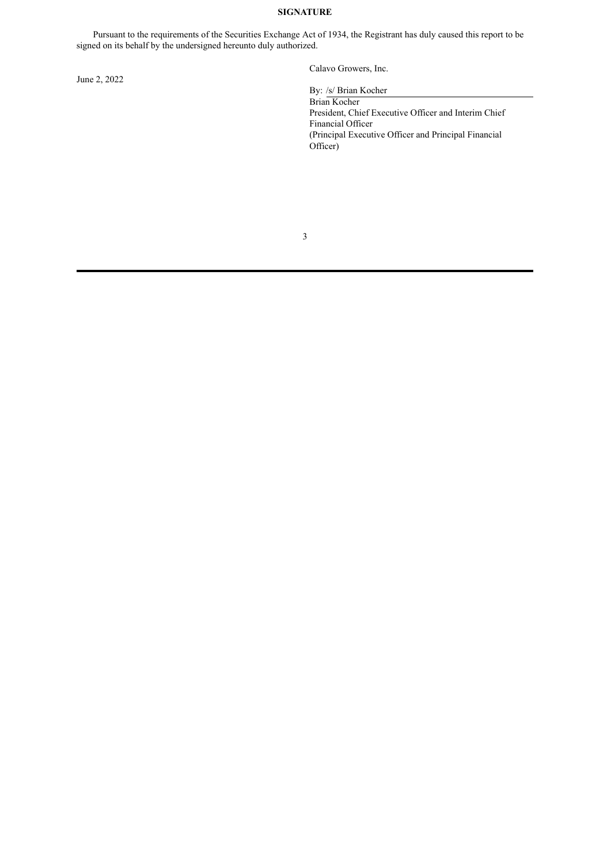#### **SIGNATURE**

Pursuant to the requirements of the Securities Exchange Act of 1934, the Registrant has duly caused this report to be signed on its behalf by the undersigned hereunto duly authorized.

June 2, 2022

Calavo Growers, Inc.

By: /s/ Brian Kocher

Brian Kocher President, Chief Executive Officer and Interim Chief Financial Officer (Principal Executive Officer and Principal Financial Officer)

3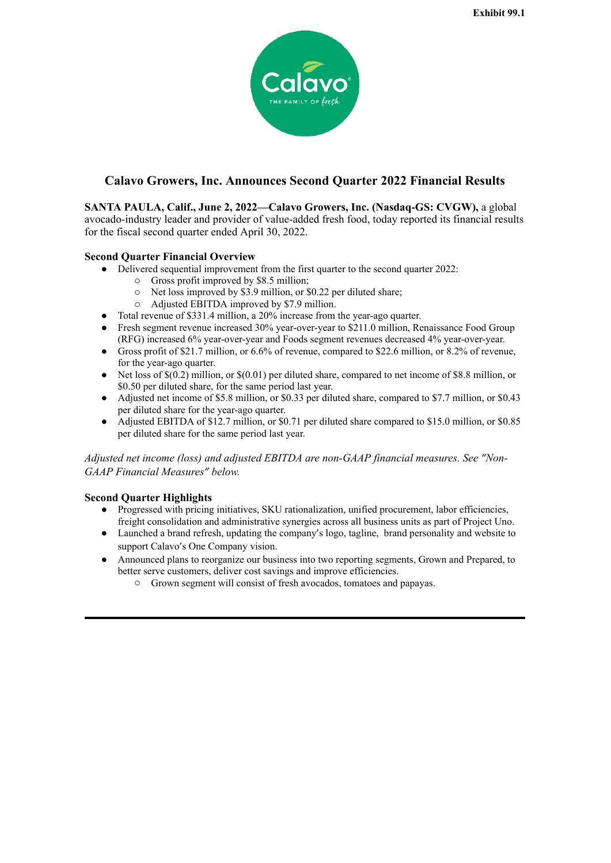

# <span id="page-3-0"></span>**Calavo Growers, Inc. Announces Second Quarter 2022 Financial Results**

**SANTA PAULA, Calif., June 2, 2022—Calavo Growers, Inc. (Nasdaq-GS: CVGW),** a global avocado-industry leader and provider of value-added fresh food, today reported its financial results for the fiscal second quarter ended April 30, 2022.

# **Second Quarter Financial Overview**

- Delivered sequential improvement from the first quarter to the second quarter 2022:
	- o Gross profit improved by \$8.5 million;
		- o Net loss improved by \$3.9 million, or \$0.22 per diluted share;
		- o Adjusted EBITDA improved by \$7.9 million.
	- Total revenue of \$331.4 million, a 20% increase from the year-ago quarter.
- Fresh segment revenue increased 30% year-over-year to \$211.0 million, Renaissance Food Group (RFG) increased 6% year-over-year and Foods segment revenues decreased 4% year-over-year.
- Gross profit of \$21.7 million, or 6.6% of revenue, compared to \$22.6 million, or 8.2% of revenue, for the year-ago quarter.
- Net loss of  $\S(0.2)$  million, or  $\S(0.01)$  per diluted share, compared to net income of \$8.8 million, or \$0.50 per diluted share, for the same period last year.
- Adjusted net income of \$5.8 million, or \$0.33 per diluted share, compared to \$7.7 million, or \$0.43 per diluted share for the year-ago quarter.
- Adjusted EBITDA of \$12.7 million, or \$0.71 per diluted share compared to \$15.0 million, or \$0.85 per diluted share for the same period last year.

*Adjusted net income (loss) and adjusted EBITDA are non-GAAP financial measures. See "Non-GAAP Financial Measures" below.*

# **Second Quarter Highlights**

- Progressed with pricing initiatives, SKU rationalization, unified procurement, labor efficiencies, freight consolidation and administrative synergies across all business units as part of Project Uno.
- Launched a brand refresh, updating the company's logo, tagline, brand personality and website to support Calavo's One Company vision.
- Announced plans to reorganize our business into two reporting segments, Grown and Prepared, to better serve customers, deliver cost savings and improve efficiencies.
	- o Grown segment will consist of fresh avocados, tomatoes and papayas.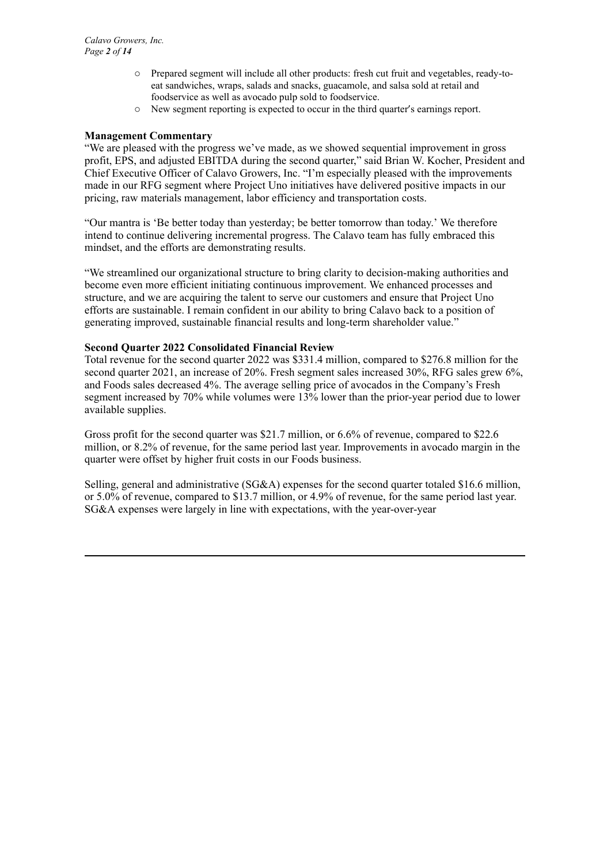- o Prepared segment will include all other products: fresh cut fruit and vegetables, ready-toeat sandwiches, wraps, salads and snacks, guacamole, and salsa sold at retail and foodservice as well as avocado pulp sold to foodservice.
- o New segment reporting is expected to occur in the third quarter's earnings report.

# **Management Commentary**

"We are pleased with the progress we've made, as we showed sequential improvement in gross profit, EPS, and adjusted EBITDA during the second quarter," said Brian W. Kocher, President and Chief Executive Officer of Calavo Growers, Inc. "I'm especially pleased with the improvements made in our RFG segment where Project Uno initiatives have delivered positive impacts in our pricing, raw materials management, labor efficiency and transportation costs.

"Our mantra is 'Be better today than yesterday; be better tomorrow than today.' We therefore intend to continue delivering incremental progress. The Calavo team has fully embraced this mindset, and the efforts are demonstrating results.

"We streamlined our organizational structure to bring clarity to decision-making authorities and become even more efficient initiating continuous improvement. We enhanced processes and structure, and we are acquiring the talent to serve our customers and ensure that Project Uno efforts are sustainable. I remain confident in our ability to bring Calavo back to a position of generating improved, sustainable financial results and long-term shareholder value."

# **Second Quarter 2022 Consolidated Financial Review**

Total revenue for the second quarter 2022 was \$331.4 million, compared to \$276.8 million for the second quarter 2021, an increase of 20%. Fresh segment sales increased 30%, RFG sales grew 6%, and Foods sales decreased 4%. The average selling price of avocados in the Company's Fresh segment increased by 70% while volumes were 13% lower than the prior-year period due to lower available supplies.

Gross profit for the second quarter was \$21.7 million, or 6.6% of revenue, compared to \$22.6 million, or 8.2% of revenue, for the same period last year. Improvements in avocado margin in the quarter were offset by higher fruit costs in our Foods business.

Selling, general and administrative (SG&A) expenses for the second quarter totaled \$16.6 million, or 5.0% of revenue, compared to \$13.7 million, or 4.9% of revenue, for the same period last year. SG&A expenses were largely in line with expectations, with the year-over-year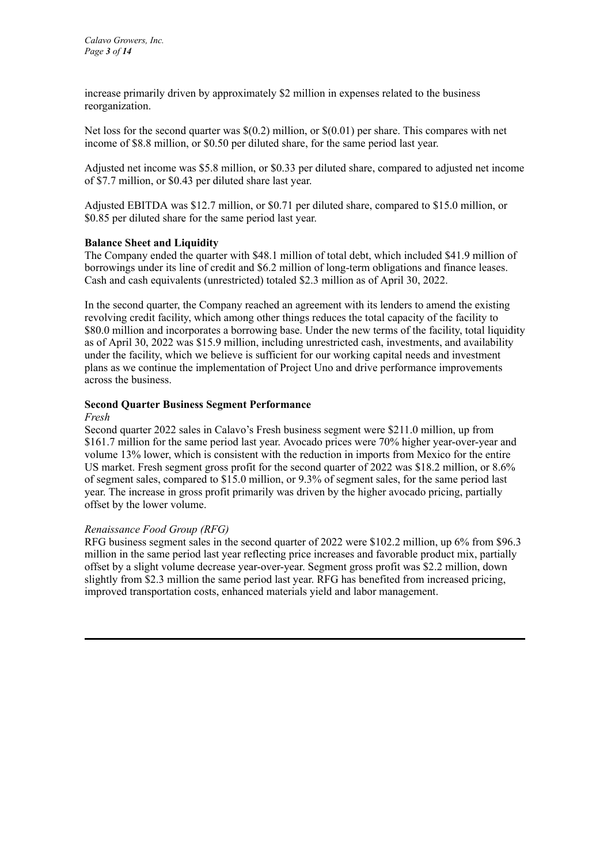increase primarily driven by approximately \$2 million in expenses related to the business reorganization.

Net loss for the second quarter was  $\mathcal{S}(0.2)$  million, or  $\mathcal{S}(0.01)$  per share. This compares with net income of \$8.8 million, or \$0.50 per diluted share, for the same period last year.

Adjusted net income was \$5.8 million, or \$0.33 per diluted share, compared to adjusted net income of \$7.7 million, or \$0.43 per diluted share last year.

Adjusted EBITDA was \$12.7 million, or \$0.71 per diluted share, compared to \$15.0 million, or \$0.85 per diluted share for the same period last year.

# **Balance Sheet and Liquidity**

The Company ended the quarter with \$48.1 million of total debt, which included \$41.9 million of borrowings under its line of credit and \$6.2 million of long-term obligations and finance leases. Cash and cash equivalents (unrestricted) totaled \$2.3 million as of April 30, 2022.

In the second quarter, the Company reached an agreement with its lenders to amend the existing revolving credit facility, which among other things reduces the total capacity of the facility to \$80.0 million and incorporates a borrowing base. Under the new terms of the facility, total liquidity as of April 30, 2022 was \$15.9 million, including unrestricted cash, investments, and availability under the facility, which we believe is sufficient for our working capital needs and investment plans as we continue the implementation of Project Uno and drive performance improvements across the business.

# **Second Quarter Business Segment Performance**

#### *Fresh*

Second quarter 2022 sales in Calavo's Fresh business segment were \$211.0 million, up from \$161.7 million for the same period last year. Avocado prices were 70% higher year-over-year and volume 13% lower, which is consistent with the reduction in imports from Mexico for the entire US market. Fresh segment gross profit for the second quarter of 2022 was \$18.2 million, or 8.6% of segment sales, compared to \$15.0 million, or 9.3% of segment sales, for the same period last year. The increase in gross profit primarily was driven by the higher avocado pricing, partially offset by the lower volume.

# *Renaissance Food Group (RFG)*

RFG business segment sales in the second quarter of 2022 were \$102.2 million, up 6% from \$96.3 million in the same period last year reflecting price increases and favorable product mix, partially offset by a slight volume decrease year-over-year. Segment gross profit was \$2.2 million, down slightly from \$2.3 million the same period last year. RFG has benefited from increased pricing, improved transportation costs, enhanced materials yield and labor management.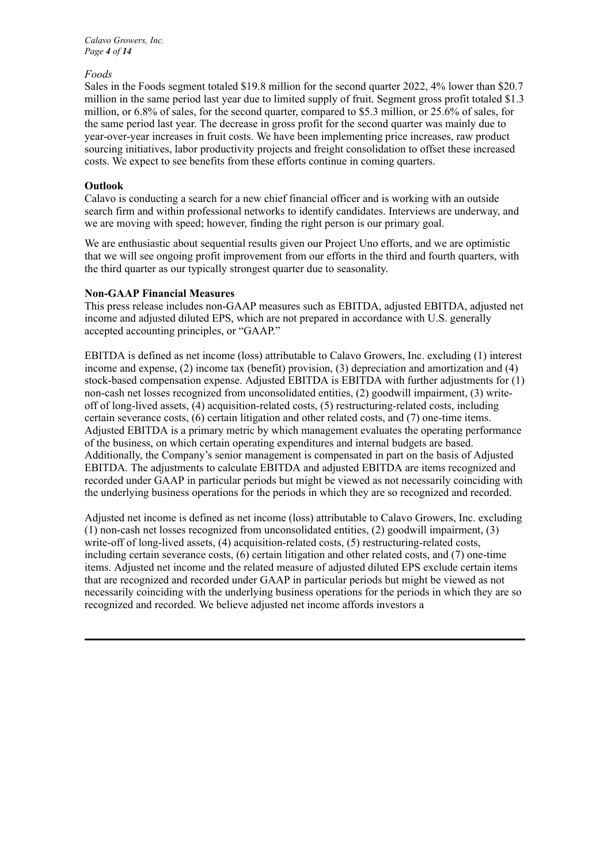# *Foods*

Sales in the Foods segment totaled \$19.8 million for the second quarter 2022, 4% lower than \$20.7 million in the same period last year due to limited supply of fruit. Segment gross profit totaled \$1.3 million, or 6.8% of sales, for the second quarter, compared to \$5.3 million, or 25.6% of sales, for the same period last year. The decrease in gross profit for the second quarter was mainly due to year-over-year increases in fruit costs. We have been implementing price increases, raw product sourcing initiatives, labor productivity projects and freight consolidation to offset these increased costs. We expect to see benefits from these efforts continue in coming quarters.

# **Outlook**

Calavo is conducting a search for a new chief financial officer and is working with an outside search firm and within professional networks to identify candidates. Interviews are underway, and we are moving with speed; however, finding the right person is our primary goal.

We are enthusiastic about sequential results given our Project Uno efforts, and we are optimistic that we will see ongoing profit improvement from our efforts in the third and fourth quarters, with the third quarter as our typically strongest quarter due to seasonality.

# **Non-GAAP Financial Measures**

This press release includes non-GAAP measures such as EBITDA, adjusted EBITDA, adjusted net income and adjusted diluted EPS, which are not prepared in accordance with U.S. generally accepted accounting principles, or "GAAP."

EBITDA is defined as net income (loss) attributable to Calavo Growers, Inc. excluding (1) interest income and expense, (2) income tax (benefit) provision, (3) depreciation and amortization and (4) stock-based compensation expense. Adjusted EBITDA is EBITDA with further adjustments for (1) non-cash net losses recognized from unconsolidated entities, (2) goodwill impairment, (3) writeoff of long-lived assets, (4) acquisition-related costs, (5) restructuring-related costs, including certain severance costs, (6) certain litigation and other related costs, and (7) one-time items. Adjusted EBITDA is a primary metric by which management evaluates the operating performance of the business, on which certain operating expenditures and internal budgets are based. Additionally, the Company's senior management is compensated in part on the basis of Adjusted EBITDA. The adjustments to calculate EBITDA and adjusted EBITDA are items recognized and recorded under GAAP in particular periods but might be viewed as not necessarily coinciding with the underlying business operations for the periods in which they are so recognized and recorded.

Adjusted net income is defined as net income (loss) attributable to Calavo Growers, Inc. excluding (1) non-cash net losses recognized from unconsolidated entities, (2) goodwill impairment, (3) write-off of long-lived assets, (4) acquisition-related costs, (5) restructuring-related costs, including certain severance costs,  $(6)$  certain litigation and other related costs, and  $(7)$  one-time items. Adjusted net income and the related measure of adjusted diluted EPS exclude certain items that are recognized and recorded under GAAP in particular periods but might be viewed as not necessarily coinciding with the underlying business operations for the periods in which they are so recognized and recorded. We believe adjusted net income affords investors a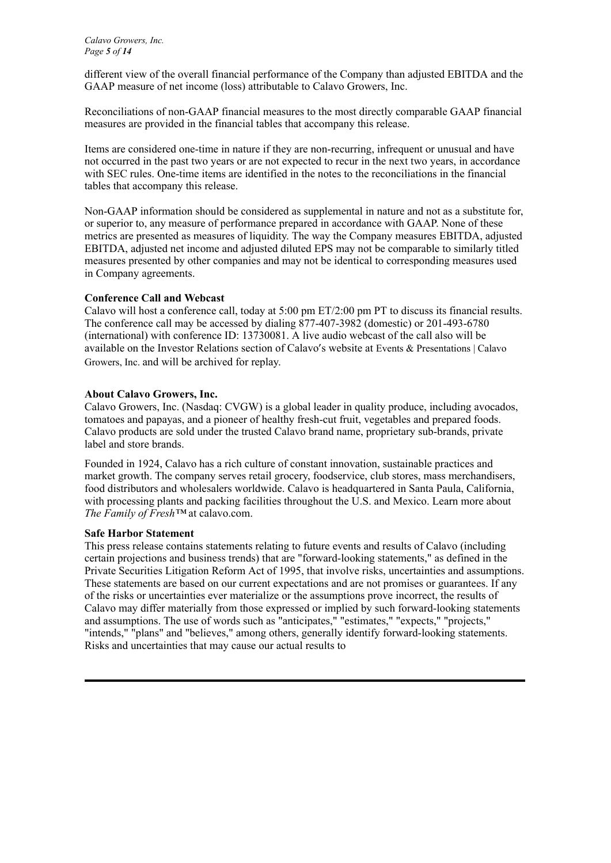different view of the overall financial performance of the Company than adjusted EBITDA and the GAAP measure of net income (loss) attributable to Calavo Growers, Inc.

Reconciliations of non-GAAP financial measures to the most directly comparable GAAP financial measures are provided in the financial tables that accompany this release.

Items are considered one-time in nature if they are non-recurring, infrequent or unusual and have not occurred in the past two years or are not expected to recur in the next two years, in accordance with SEC rules. One-time items are identified in the notes to the reconciliations in the financial tables that accompany this release.

Non-GAAP information should be considered as supplemental in nature and not as a substitute for, or superior to, any measure of performance prepared in accordance with GAAP. None of these metrics are presented as measures of liquidity. The way the Company measures EBITDA, adjusted EBITDA, adjusted net income and adjusted diluted EPS may not be comparable to similarly titled measures presented by other companies and may not be identical to corresponding measures used in Company agreements.

# **Conference Call and Webcast**

Calavo will host a conference call, today at 5:00 pm ET/2:00 pm PT to discuss its financial results. The conference call may be accessed by dialing 877-407-3982 (domestic) or 201-493-6780 (international) with conference ID: 13730081. A live audio webcast of the call also will be available on the Investor Relations section of Calavo's website at Events & Presentations | Calavo Growers, Inc. and will be archived for replay.

# **About Calavo Growers, Inc.**

Calavo Growers, Inc. (Nasdaq: CVGW) is a global leader in quality produce, including avocados, tomatoes and papayas, and a pioneer of healthy fresh-cut fruit, vegetables and prepared foods. Calavo products are sold under the trusted Calavo brand name, proprietary sub-brands, private label and store brands.

Founded in 1924, Calavo has a rich culture of constant innovation, sustainable practices and market growth. The company serves retail grocery, foodservice, club stores, mass merchandisers, food distributors and wholesalers worldwide. Calavo is headquartered in Santa Paula, California, with processing plants and packing facilities throughout the U.S. and Mexico. Learn more about *The Family of Fresh™* at calavo.com.

# **Safe Harbor Statement**

This press release contains statements relating to future events and results of Calavo (including certain projections and business trends) that are "forward-looking statements," as defined in the Private Securities Litigation Reform Act of 1995, that involve risks, uncertainties and assumptions. These statements are based on our current expectations and are not promises or guarantees. If any of the risks or uncertainties ever materialize or the assumptions prove incorrect, the results of Calavo may differ materially from those expressed or implied by such forward-looking statements and assumptions. The use of words such as "anticipates," "estimates," "expects," "projects," "intends," "plans" and "believes," among others, generally identify forward-looking statements. Risks and uncertainties that may cause our actual results to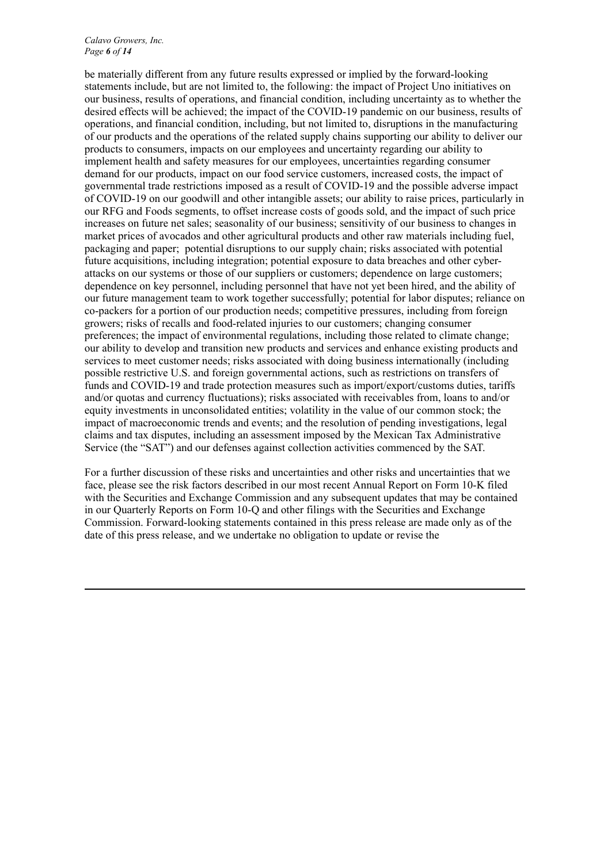#### *Calavo Growers, Inc. Page 6 of 14*

be materially different from any future results expressed or implied by the forward-looking statements include, but are not limited to, the following: the impact of Project Uno initiatives on our business, results of operations, and financial condition, including uncertainty as to whether the desired effects will be achieved; the impact of the COVID-19 pandemic on our business, results of operations, and financial condition, including, but not limited to, disruptions in the manufacturing of our products and the operations of the related supply chains supporting our ability to deliver our products to consumers, impacts on our employees and uncertainty regarding our ability to implement health and safety measures for our employees, uncertainties regarding consumer demand for our products, impact on our food service customers, increased costs, the impact of governmental trade restrictions imposed as a result of COVID-19 and the possible adverse impact of COVID-19 on our goodwill and other intangible assets; our ability to raise prices, particularly in our RFG and Foods segments, to offset increase costs of goods sold, and the impact of such price increases on future net sales; seasonality of our business; sensitivity of our business to changes in market prices of avocados and other agricultural products and other raw materials including fuel, packaging and paper; potential disruptions to our supply chain; risks associated with potential future acquisitions, including integration; potential exposure to data breaches and other cyberattacks on our systems or those of our suppliers or customers; dependence on large customers; dependence on key personnel, including personnel that have not yet been hired, and the ability of our future management team to work together successfully; potential for labor disputes; reliance on co-packers for a portion of our production needs; competitive pressures, including from foreign growers; risks of recalls and food-related injuries to our customers; changing consumer preferences; the impact of environmental regulations, including those related to climate change; our ability to develop and transition new products and services and enhance existing products and services to meet customer needs; risks associated with doing business internationally (including possible restrictive U.S. and foreign governmental actions, such as restrictions on transfers of funds and COVID-19 and trade protection measures such as import/export/customs duties, tariffs and/or quotas and currency fluctuations); risks associated with receivables from, loans to and/or equity investments in unconsolidated entities; volatility in the value of our common stock; the impact of macroeconomic trends and events; and the resolution of pending investigations, legal claims and tax disputes, including an assessment imposed by the Mexican Tax Administrative Service (the "SAT") and our defenses against collection activities commenced by the SAT.

For a further discussion of these risks and uncertainties and other risks and uncertainties that we face, please see the risk factors described in our most recent Annual Report on Form 10-K filed with the Securities and Exchange Commission and any subsequent updates that may be contained in our Quarterly Reports on Form 10-Q and other filings with the Securities and Exchange Commission. Forward-looking statements contained in this press release are made only as of the date of this press release, and we undertake no obligation to update or revise the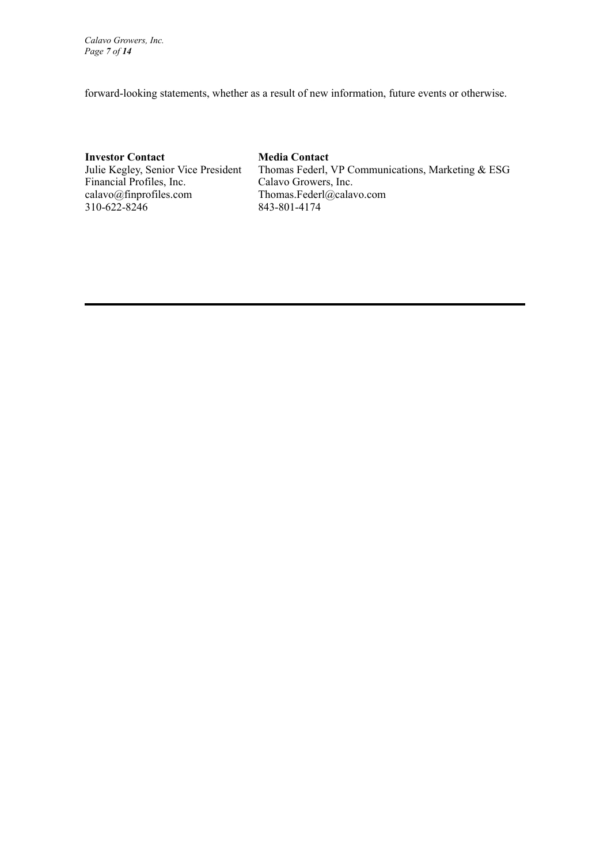*Calavo Growers, Inc. Page 7 of 14*

forward-looking statements, whether as a result of new information, future events or otherwise.

Financial Profiles, Inc. Calavo Growers, Inc. calavo@finprofiles.com Thomas.Federl@calavo.com 310-622-8246 843-801-4174

**Investor Contact**<br> **Iulie Kegley, Senior Vice President** Thomas Federl, Thomas Federl, VP Communications, Marketing & ESG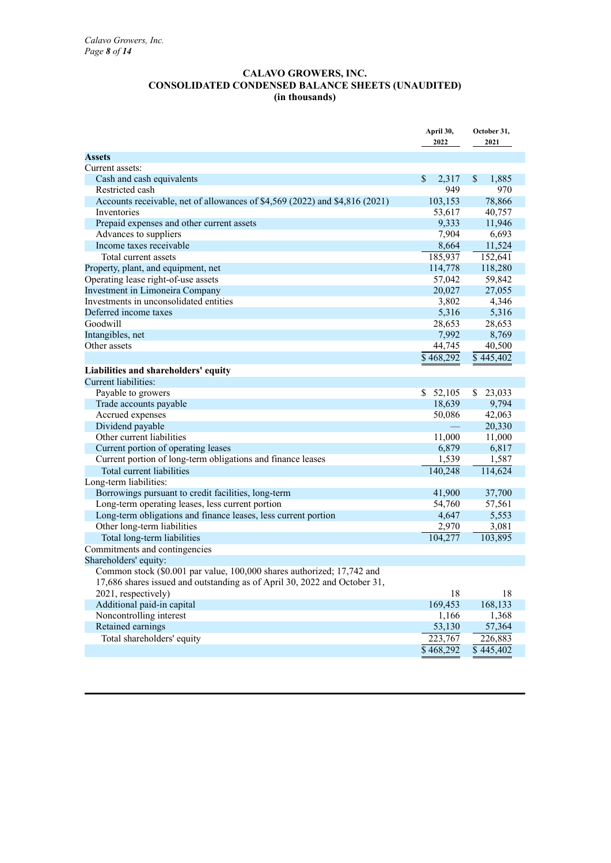#### **CALAVO GROWERS, INC. CONSOLIDATED CONDENSED BALANCE SHEETS (UNAUDITED) (in thousands)**

|                                                                             | April 30,<br>2022    | October 31,<br>2021    |
|-----------------------------------------------------------------------------|----------------------|------------------------|
| <b>Assets</b>                                                               |                      |                        |
| Current assets:                                                             |                      |                        |
| Cash and cash equivalents                                                   | $\mathbf S$<br>2,317 | \$<br>1,885            |
| Restricted cash                                                             | 949                  | 970                    |
| Accounts receivable, net of allowances of \$4,569 (2022) and \$4,816 (2021) | 103,153              | 78,866                 |
| Inventories                                                                 | 53,617               | 40,757                 |
| Prepaid expenses and other current assets                                   | 9,333                | 11,946                 |
| Advances to suppliers                                                       | 7,904                | 6,693                  |
| Income taxes receivable                                                     | 8,664                | 11,524                 |
| Total current assets                                                        | 185,937              | 152,641                |
| Property, plant, and equipment, net                                         | 114,778              | 118,280                |
| Operating lease right-of-use assets                                         | 57,042               | 59,842                 |
| Investment in Limoneira Company                                             | 20,027               | 27,055                 |
| Investments in unconsolidated entities                                      | 3,802                | 4,346                  |
| Deferred income taxes                                                       | 5,316                | 5,316                  |
| Goodwill                                                                    | 28,653               | 28,653                 |
| Intangibles, net                                                            | 7,992                | 8,769                  |
| Other assets                                                                | 44,745               | 40,500                 |
|                                                                             | $\sqrt{68,292}$      | \$445,402              |
| Liabilities and shareholders' equity                                        |                      |                        |
| Current liabilities:                                                        |                      |                        |
| Payable to growers                                                          | S<br>52,105          | \$<br>23,033           |
| Trade accounts payable                                                      | 18,639               | 9,794                  |
| Accrued expenses                                                            | 50,086               | 42,063                 |
| Dividend payable                                                            |                      | 20,330                 |
| Other current liabilities                                                   | 11,000               | 11,000                 |
| Current portion of operating leases                                         | 6,879                | 6,817                  |
| Current portion of long-term obligations and finance leases                 | 1,539                | 1,587                  |
| Total current liabilities                                                   | 140,248              | 114,624                |
| Long-term liabilities:                                                      |                      |                        |
| Borrowings pursuant to credit facilities, long-term                         | 41,900               | 37,700                 |
| Long-term operating leases, less current portion                            | 54,760               | 57,561                 |
| Long-term obligations and finance leases, less current portion              | 4,647                | 5,553                  |
| Other long-term liabilities                                                 | 2,970                | 3,081                  |
| Total long-term liabilities                                                 | 104,277              | 103,895                |
| Commitments and contingencies                                               |                      |                        |
| Shareholders' equity:                                                       |                      |                        |
| Common stock (\$0.001 par value, 100,000 shares authorized; 17,742 and      |                      |                        |
| 17,686 shares issued and outstanding as of April 30, 2022 and October 31,   |                      |                        |
| 2021, respectively)                                                         | 18                   | 18                     |
| Additional paid-in capital                                                  | 169,453              | 168,133                |
| Noncontrolling interest                                                     | 1,166                | 1,368                  |
| Retained earnings                                                           | 53,130               | 57,364                 |
| Total shareholders' equity                                                  | 223,767              | 226,883                |
|                                                                             | $\sqrt{68,292}$      | $\overline{$}$ 445,402 |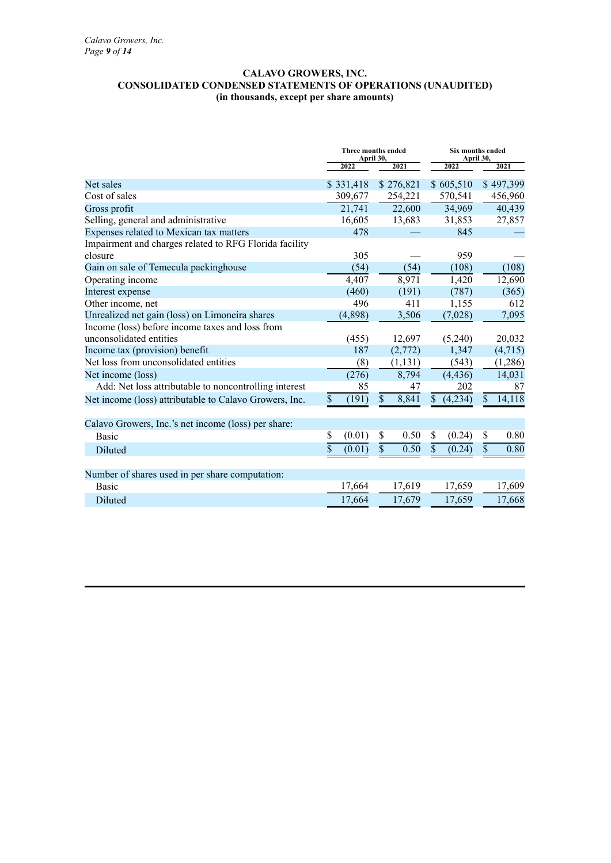#### **CALAVO GROWERS, INC. CONSOLIDATED CONDENSED STATEMENTS OF OPERATIONS (UNAUDITED) (in thousands, except per share amounts)**

|                                                        | April 30,                   | Three months ended                 | Six months ended<br>April 30, |                            |
|--------------------------------------------------------|-----------------------------|------------------------------------|-------------------------------|----------------------------|
|                                                        | 2022                        | 2021                               | 2022                          | 2021                       |
| Net sales                                              | \$331,418                   | \$276,821                          | \$605,510                     | \$497,399                  |
| Cost of sales                                          | 309,677                     | 254,221                            | 570,541                       | 456,960                    |
| Gross profit                                           | 21,741                      | 22,600                             | 34,969                        | 40,439                     |
| Selling, general and administrative                    | 16,605                      | 13,683                             | 31,853                        | 27,857                     |
| Expenses related to Mexican tax matters                | 478                         |                                    | 845                           |                            |
| Impairment and charges related to RFG Florida facility |                             |                                    |                               |                            |
| closure                                                | 305                         |                                    | 959                           |                            |
| Gain on sale of Temecula packinghouse                  | (54)                        | (54)                               | (108)                         | (108)                      |
| Operating income                                       | 4,407                       | 8,971                              | 1,420                         | 12,690                     |
| Interest expense                                       | (460)                       | (191)                              | (787)                         | (365)                      |
| Other income, net                                      | 496                         | 411                                | 1,155                         | 612                        |
| Unrealized net gain (loss) on Limoneira shares         | (4,898)                     | 3,506                              | (7,028)                       | 7,095                      |
| Income (loss) before income taxes and loss from        |                             |                                    |                               |                            |
| unconsolidated entities                                | (455)                       | 12,697                             | (5,240)                       | 20,032                     |
| Income tax (provision) benefit                         | 187                         | (2,772)                            | 1,347                         | (4, 715)                   |
| Net loss from unconsolidated entities                  | (8)                         | (1, 131)                           | (543)                         | (1,286)                    |
| Net income (loss)                                      | (276)                       | 8,794                              | (4, 436)                      | 14,031                     |
| Add: Net loss attributable to noncontrolling interest  | 85                          | 47                                 | 202                           | 87                         |
| Net income (loss) attributable to Calavo Growers, Inc. | $\mathbf{\hat{S}}$<br>(191) | $\boldsymbol{\mathsf{S}}$<br>8,841 | (4,234)<br>S                  | 14,118<br>\$               |
| Calavo Growers, Inc.'s net income (loss) per share:    |                             |                                    |                               |                            |
| <b>Basic</b>                                           | \$<br>(0.01)                | \$<br>0.50                         | \$<br>(0.24)                  | \$<br>0.80                 |
| Diluted                                                | \$<br>(0.01)                | $\overline{\$}$<br>0.50            | $\mathbb{S}$<br>(0.24)        | $\mathbf{\hat{S}}$<br>0.80 |
|                                                        |                             |                                    |                               |                            |
| Number of shares used in per share computation:        |                             |                                    |                               |                            |
| <b>Basic</b>                                           | 17,664                      | 17,619                             | 17,659                        | 17,609                     |
| Diluted                                                | 17,664                      | 17,679                             | 17,659                        | 17,668                     |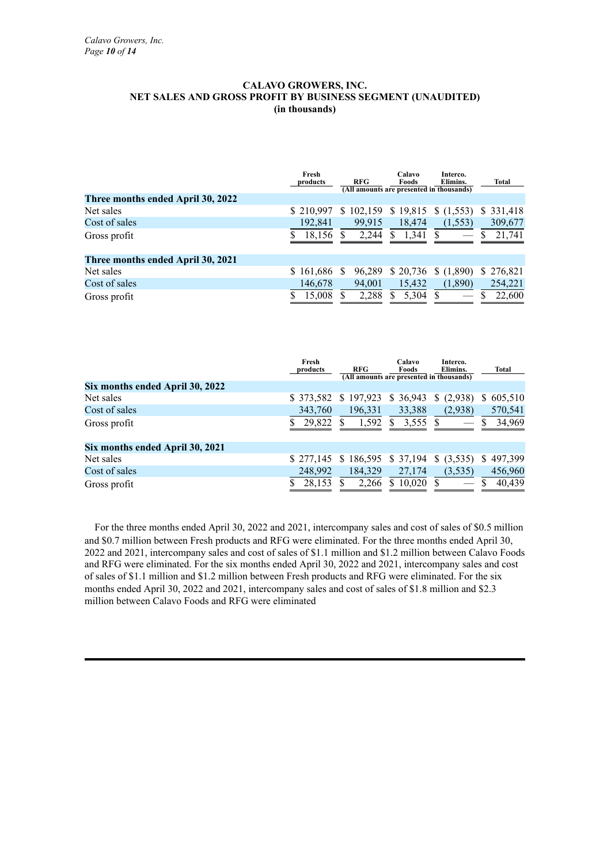#### **CALAVO GROWERS, INC. NET SALES AND GROSS PROFIT BY BUSINESS SEGMENT (UNAUDITED) (in thousands)**

|                                   | Fresh<br>products | <b>RFG</b><br>(All amounts are presented in thousands) | Calavo<br>Foods | Interco.<br>Elimins. | Total         |
|-----------------------------------|-------------------|--------------------------------------------------------|-----------------|----------------------|---------------|
| Three months ended April 30, 2022 |                   |                                                        |                 |                      |               |
| Net sales                         | \$210,997         | \$102,159                                              | \$19,815        | \$(1,553)            | \$ 331,418    |
| Cost of sales                     | 192.841           | 99.915                                                 | 18,474          | (1, 553)             | 309,677       |
| Gross profit                      | 18,156            | 2,244                                                  | 1,341           | <b>S</b>             | 21,741        |
| Three months ended April 30, 2021 |                   |                                                        |                 |                      |               |
| Net sales                         | $$161,686$ \$     | 96,289                                                 | \$20,736        | \$(1,890)            | 276,821<br>S. |
| Cost of sales                     | 146,678           | 94,001                                                 | 15,432          | (1,890)              | 254,221       |
| Gross profit                      | 15,008            | 2,288                                                  | 5,304           | -S                   | 22,600        |

|                                 | Fresh<br>products | <b>RFG</b>                   | Calavo<br>Foods                          | Interco.<br>Elimins.     | Total                   |
|---------------------------------|-------------------|------------------------------|------------------------------------------|--------------------------|-------------------------|
|                                 |                   |                              | (All amounts are presented in thousands) |                          |                         |
| Six months ended April 30, 2022 |                   |                              |                                          |                          |                         |
| Net sales                       |                   | \$373,582 \$197,923 \$36,943 |                                          | (2,938)                  | 605,510<br>S.           |
| Cost of sales                   | 343,760           | 196,331                      | 33,388                                   | (2,938)                  | 570,541                 |
| Gross profit                    | 29,822            | 1,592                        | 3,555                                    |                          | 34,969                  |
| Six months ended April 30, 2021 |                   |                              |                                          |                          |                         |
| Net sales                       | \$277,145         | $$186,595$ $$37,194$         |                                          | <sup>\$</sup><br>(3,535) | 497,399<br><sup>S</sup> |
| Cost of sales                   | 248,992           | 184,329                      | 27,174                                   | (3,535)                  | 456,960                 |
| Gross profit                    | 28,153            | 2,266                        | \$10,020                                 |                          | 40,439                  |

For the three months ended April 30, 2022 and 2021, intercompany sales and cost of sales of \$0.5 million and \$0.7 million between Fresh products and RFG were eliminated. For the three months ended April 30, 2022 and 2021, intercompany sales and cost of sales of \$1.1 million and \$1.2 million between Calavo Foods and RFG were eliminated. For the six months ended April 30, 2022 and 2021, intercompany sales and cost of sales of \$1.1 million and \$1.2 million between Fresh products and RFG were eliminated. For the six months ended April 30, 2022 and 2021, intercompany sales and cost of sales of \$1.8 million and \$2.3 million between Calavo Foods and RFG were eliminated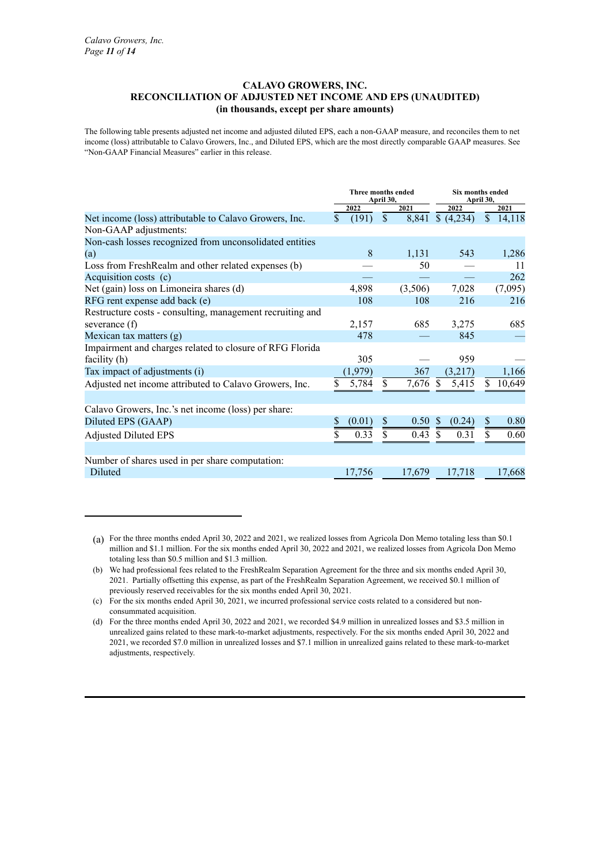#### **CALAVO GROWERS, INC. RECONCILIATION OF ADJUSTED NET INCOME AND EPS (UNAUDITED) (in thousands, except per share amounts)**

The following table presents adjusted net income and adjusted diluted EPS, each a non-GAAP measure, and reconciles them to net income (loss) attributable to Calavo Growers, Inc., and Diluted EPS, which are the most directly comparable GAAP measures. See "Non-GAAP Financial Measures" earlier in this release.

|                                                           | Three months ended<br>April 30, |         |               |         | <b>Six months ended</b><br>April 30, |         |               |         |
|-----------------------------------------------------------|---------------------------------|---------|---------------|---------|--------------------------------------|---------|---------------|---------|
|                                                           |                                 | 2022    |               | 2021    |                                      | 2022    |               | 2021    |
| Net income (loss) attributable to Calavo Growers, Inc.    | \$                              | (191)   | $\mathbf{\$}$ | 8,841   |                                      | (4,234) | $\mathbb{S}$  | 14,118  |
| Non-GAAP adjustments:                                     |                                 |         |               |         |                                      |         |               |         |
| Non-cash losses recognized from unconsolidated entities   |                                 |         |               |         |                                      |         |               |         |
| (a)                                                       |                                 | 8       |               | 1,131   |                                      | 543     |               | 1,286   |
| Loss from FreshRealm and other related expenses (b)       |                                 |         |               | 50      |                                      |         |               | 11      |
| Acquisition costs (c)                                     |                                 |         |               |         |                                      |         |               | 262     |
| Net (gain) loss on Limoneira shares (d)                   |                                 | 4,898   |               | (3,506) |                                      | 7,028   |               | (7,095) |
| RFG rent expense add back (e)                             |                                 | 108     |               | 108     |                                      | 216     |               | 216     |
| Restructure costs - consulting, management recruiting and |                                 |         |               |         |                                      |         |               |         |
| severance (f)                                             |                                 | 2,157   |               | 685     |                                      | 3,275   |               | 685     |
| Mexican tax matters $(g)$                                 |                                 | 478     |               |         |                                      | 845     |               |         |
| Impairment and charges related to closure of RFG Florida  |                                 |         |               |         |                                      |         |               |         |
| facility (h)                                              |                                 | 305     |               |         |                                      | 959     |               |         |
| Tax impact of adjustments (i)                             |                                 | (1,979) |               | 367     |                                      | (3,217) |               | 1,166   |
| Adjusted net income attributed to Calavo Growers, Inc.    |                                 | 5,784   | S             | 7,676   | <sup>S</sup>                         | 5,415   | S             | 10,649  |
|                                                           |                                 |         |               |         |                                      |         |               |         |
| Calavo Growers, Inc.'s net income (loss) per share:       |                                 |         |               |         |                                      |         |               |         |
| Diluted EPS (GAAP)                                        | \$                              | (0.01)  | \$            | 0.50    | -S                                   | (0.24)  | $\mathbf{\$}$ | 0.80    |
| <b>Adjusted Diluted EPS</b>                               | \$                              | 0.33    | \$            | 0.43    | <sup>\$</sup>                        | 0.31    | \$            | 0.60    |
|                                                           |                                 |         |               |         |                                      |         |               |         |
| Number of shares used in per share computation:           |                                 |         |               |         |                                      |         |               |         |
| Diluted                                                   |                                 | 17,756  |               | 17,679  |                                      | 17,718  |               | 17,668  |

<sup>(</sup>a) For the three months ended April 30, 2022 and 2021, we realized losses from Agricola Don Memo totaling less than \$0.1 million and \$1.1 million. For the six months ended April 30, 2022 and 2021, we realized losses from Agricola Don Memo totaling less than \$0.5 million and \$1.3 million.

<sup>(</sup>b) We had professional fees related to the FreshRealm Separation Agreement for the three and six months ended April 30, 2021. Partially offsetting this expense, as part of the FreshRealm Separation Agreement, we received \$0.1 million of previously reserved receivables for the six months ended April 30, 2021.

<sup>(</sup>c) For the six months ended April 30, 2021, we incurred professional service costs related to a considered but nonconsummated acquisition.

<sup>(</sup>d) For the three months ended April 30, 2022 and 2021, we recorded \$4.9 million in unrealized losses and \$3.5 million in unrealized gains related to these mark-to-market adjustments, respectively. For the six months ended April 30, 2022 and 2021, we recorded \$7.0 million in unrealized losses and \$7.1 million in unrealized gains related to these mark-to-market adjustments, respectively.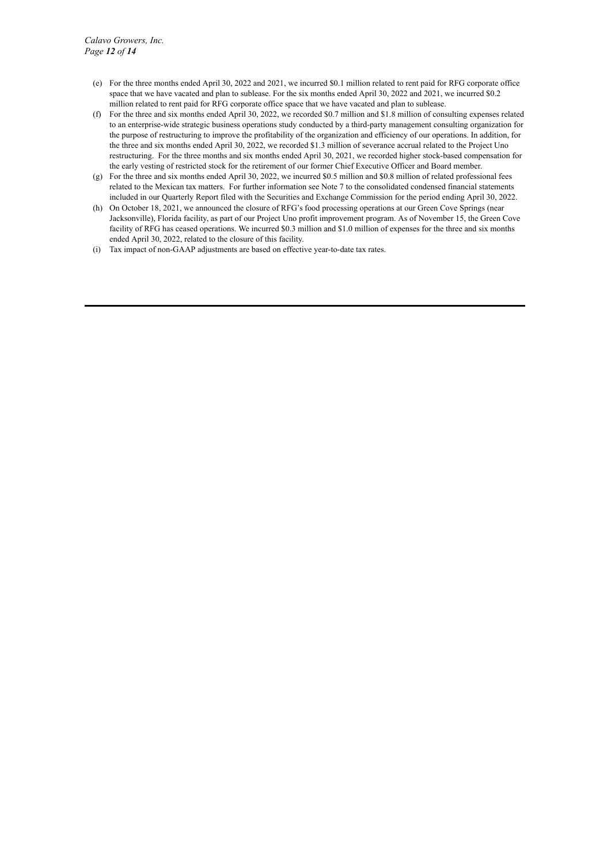- (e) For the three months ended April 30, 2022 and 2021, we incurred \$0.1 million related to rent paid for RFG corporate office space that we have vacated and plan to sublease. For the six months ended April 30, 2022 and 2021, we incurred \$0.2 million related to rent paid for RFG corporate office space that we have vacated and plan to sublease.
- (f) For the three and six months ended April 30, 2022, we recorded \$0.7 million and \$1.8 million of consulting expenses related to an enterprise-wide strategic business operations study conducted by a third-party management consulting organization for the purpose of restructuring to improve the profitability of the organization and efficiency of our operations. In addition, for the three and six months ended April 30, 2022, we recorded \$1.3 million of severance accrual related to the Project Uno restructuring. For the three months and six months ended April 30, 2021, we recorded higher stock-based compensation for the early vesting of restricted stock for the retirement of our former Chief Executive Officer and Board member.
- (g) For the three and six months ended April 30, 2022, we incurred \$0.5 million and \$0.8 million of related professional fees related to the Mexican tax matters. For further information see Note 7 to the consolidated condensed financial statements included in our Quarterly Report filed with the Securities and Exchange Commission for the period ending April 30, 2022.
- (h) On October 18, 2021, we announced the closure of RFG's food processing operations at our Green Cove Springs (near Jacksonville), Florida facility, as part of our Project Uno profit improvement program. As of November 15, the Green Cove facility of RFG has ceased operations. We incurred \$0.3 million and \$1.0 million of expenses for the three and six months ended April 30, 2022, related to the closure of this facility.
- (i) Tax impact of non-GAAP adjustments are based on effective year-to-date tax rates.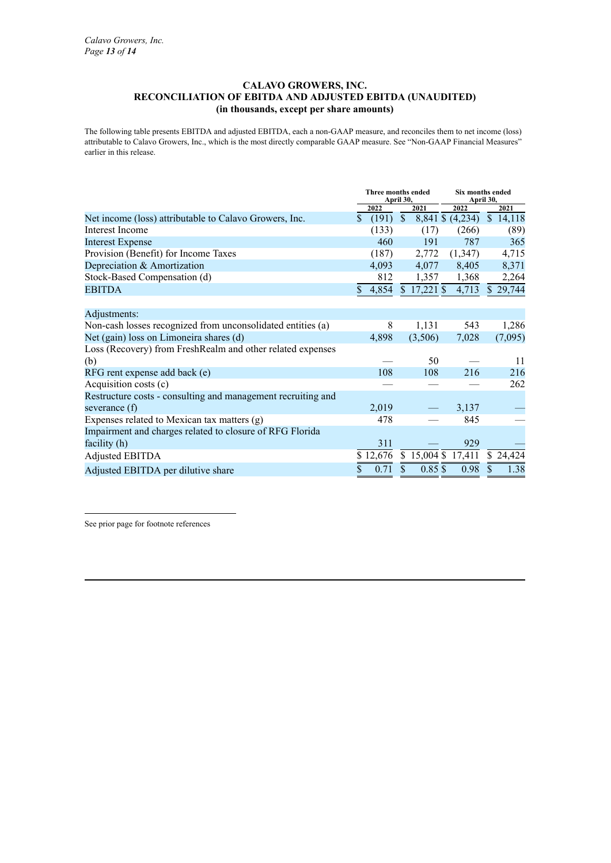#### **CALAVO GROWERS, INC. RECONCILIATION OF EBITDA AND ADJUSTED EBITDA (UNAUDITED) (in thousands, except per share amounts)**

The following table presents EBITDA and adjusted EBITDA, each a non-GAAP measure, and reconciles them to net income (loss) attributable to Calavo Growers, Inc., which is the most directly comparable GAAP measure. See "Non-GAAP Financial Measures" earlier in this release.

|                                                              | Three months ended<br>April 30, |          |                    |                  | <b>Six months ended</b><br>April 30, |              |          |
|--------------------------------------------------------------|---------------------------------|----------|--------------------|------------------|--------------------------------------|--------------|----------|
|                                                              |                                 | 2022     |                    | 2021             | 2022                                 |              | 2021     |
| Net income (loss) attributable to Calavo Growers, Inc.       | $\mathbb{S}$                    | (191)    | $\mathbf{\hat{S}}$ | 8,841 \$         | (4,234)                              | $\mathbb{S}$ | 14,118   |
| <b>Interest Income</b>                                       |                                 | (133)    |                    | (17)             | (266)                                |              | (89)     |
| <b>Interest Expense</b>                                      |                                 | 460      |                    | 191              | 787                                  |              | 365      |
| Provision (Benefit) for Income Taxes                         |                                 | (187)    |                    | 2,772            | (1, 347)                             |              | 4,715    |
| Depreciation & Amortization                                  |                                 | 4,093    |                    | 4,077            | 8,405                                |              | 8,371    |
| Stock-Based Compensation (d)                                 |                                 | 812      |                    | 1,357            | 1,368                                |              | 2,264    |
| <b>EBITDA</b>                                                | $\mathbb{S}$                    | 4,854    |                    | $\sqrt{17,221}$  | 4,713                                |              | \$29,744 |
|                                                              |                                 |          |                    |                  |                                      |              |          |
| Adjustments:                                                 |                                 |          |                    |                  |                                      |              |          |
| Non-cash losses recognized from unconsolidated entities (a)  |                                 | 8        |                    | 1,131            | 543                                  |              | 1,286    |
| Net (gain) loss on Limoneira shares (d)                      |                                 | 4,898    |                    | (3,506)          | 7,028                                |              | (7,095)  |
| Loss (Recovery) from FreshRealm and other related expenses   |                                 |          |                    |                  |                                      |              |          |
| (b)                                                          |                                 |          |                    | 50               |                                      |              | 11       |
| RFG rent expense add back (e)                                |                                 | 108      |                    | 108              | 216                                  |              | 216      |
| Acquisition costs (c)                                        |                                 |          |                    |                  |                                      |              | 262      |
| Restructure costs - consulting and management recruiting and |                                 |          |                    |                  |                                      |              |          |
| severance (f)                                                |                                 | 2,019    |                    |                  | 3,137                                |              |          |
| Expenses related to Mexican tax matters (g)                  |                                 | 478      |                    |                  | 845                                  |              |          |
| Impairment and charges related to closure of RFG Florida     |                                 |          |                    |                  |                                      |              |          |
| facility (h)                                                 |                                 | 311      |                    |                  | 929                                  |              |          |
| <b>Adjusted EBITDA</b>                                       |                                 | \$12,676 | S.                 | 15,004 \$ 17,411 |                                      |              | \$24,424 |
| Adjusted EBITDA per dilutive share                           |                                 | 0.71     | \$                 | $0.85$ \$        | 0.98                                 |              | 1.38     |

See prior page for footnote references